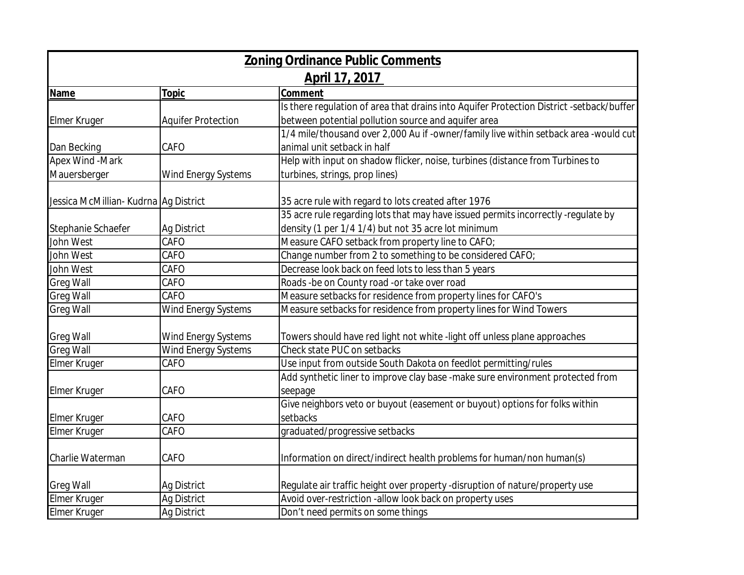|                                       |                            | <b>Zoning Ordinance Public Comments</b>                                                  |
|---------------------------------------|----------------------------|------------------------------------------------------------------------------------------|
|                                       |                            | April 17, 2017                                                                           |
| Name                                  | Topic                      | Comment                                                                                  |
|                                       |                            | Is there regulation of area that drains into Aquifer Protection District -setback/buffer |
| <b>Elmer Kruger</b>                   | <b>Aquifer Protection</b>  | between potential pollution source and aquifer area                                      |
|                                       |                            | 1/4 mile/thousand over 2,000 Au if -owner/family live within setback area -would cut     |
| Dan Becking                           | CAFO                       | animal unit setback in half                                                              |
| Apex Wind - Mark                      |                            | Help with input on shadow flicker, noise, turbines (distance from Turbines to            |
| Mauersberger                          | Wind Energy Systems        | turbines, strings, prop lines)                                                           |
| Jessica McMillian- Kudrna Ag District |                            | 35 acre rule with regard to lots created after 1976                                      |
|                                       |                            | 35 acre rule regarding lots that may have issued permits incorrectly -regulate by        |
| Stephanie Schaefer                    | Ag District                | density (1 per 1/4 1/4) but not 35 acre lot minimum                                      |
| John West                             | CAFO                       | Measure CAFO setback from property line to CAFO;                                         |
| John West                             | CAFO                       | Change number from 2 to something to be considered CAFO;                                 |
| John West                             | CAFO                       | Decrease look back on feed lots to less than 5 years                                     |
| <b>Greg Wall</b>                      | CAFO                       | Roads -be on County road -or take over road                                              |
| <b>Greg Wall</b>                      | CAFO                       | Measure setbacks for residence from property lines for CAFO's                            |
| <b>Greg Wall</b>                      | <b>Wind Energy Systems</b> | Measure setbacks for residence from property lines for Wind Towers                       |
| <b>Greg Wall</b>                      | Wind Energy Systems        | Towers should have red light not white -light off unless plane approaches                |
| <b>Greg Wall</b>                      | Wind Energy Systems        | Check state PUC on setbacks                                                              |
| Elmer Kruger                          | CAFO                       | Use input from outside South Dakota on feedlot permitting/rules                          |
|                                       |                            | Add synthetic liner to improve clay base -make sure environment protected from           |
| <b>Elmer Kruger</b>                   | CAFO                       | seepage                                                                                  |
|                                       |                            | Give neighbors veto or buyout (easement or buyout) options for folks within              |
| <b>Elmer Kruger</b>                   | CAFO                       | setbacks                                                                                 |
| <b>Elmer Kruger</b>                   | CAFO                       | graduated/progressive setbacks                                                           |
| Charlie Waterman                      | CAFO                       | Information on direct/indirect health problems for human/non human(s)                    |
| <b>Greg Wall</b>                      | Ag District                | Regulate air traffic height over property -disruption of nature/property use             |
| <b>Elmer Kruger</b>                   | Ag District                | Avoid over-restriction -allow look back on property uses                                 |
| Elmer Kruger                          | Ag District                | Don't need permits on some things                                                        |